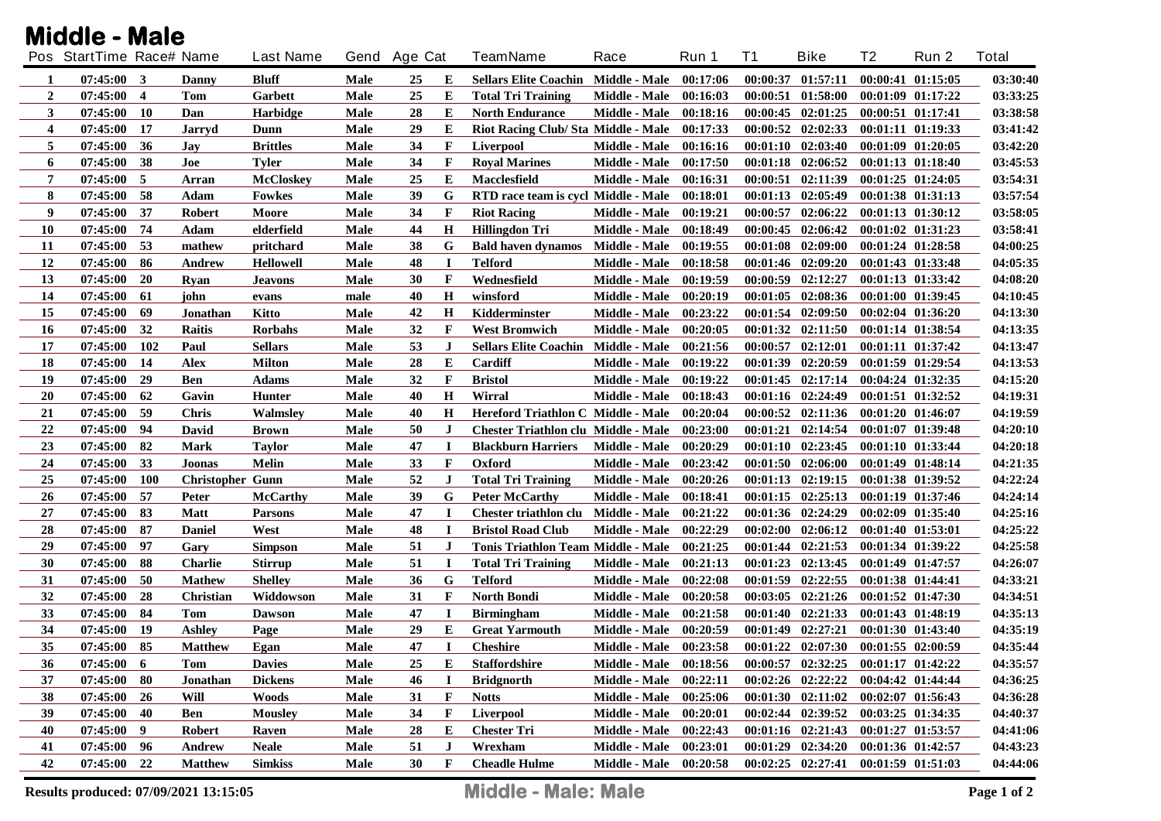|                | Pos StartTime Race# Name |                |                         | <b>Last Name</b> | Gend Age Cat |    |              | <b>TeamName</b>                            | Race                 | Run 1    | T1       | <b>Bike</b>                                 | T2 | Run 2                 | Total    |
|----------------|--------------------------|----------------|-------------------------|------------------|--------------|----|--------------|--------------------------------------------|----------------------|----------|----------|---------------------------------------------|----|-----------------------|----------|
| 1              | $07:45:00$ 3             |                | Danny                   | Bluff            | Male         | 25 | E            | <b>Sellars Elite Coachin Middle - Male</b> |                      | 00:17:06 | 00:00:37 | 01:57:11                                    |    | $00:00:41$ $01:15:05$ | 03:30:40 |
| $\overline{2}$ | 07:45:00                 | $\overline{4}$ | Tom                     | Garbett          | Male         | 25 | Е            | <b>Total Tri Training</b>                  | Middle - Male        | 00:16:03 | 00:00:51 | 01:58:00                                    |    | $00:01:09$ $01:17:22$ | 03:33:25 |
| 3              | 07:45:00                 | -10            | Dan                     | <b>Harbidge</b>  | Male         | 28 | E            | <b>North Endurance</b>                     | Middle - Male        | 00:18:16 |          | 00:00:45 02:01:25                           |    | 00:00:51 01:17:41     | 03:38:58 |
| 4              | 07:45:00                 | -17            | Jarryd                  | Dunn             | Male         | 29 | E            | Riot Racing Club/ Sta Middle - Male        |                      | 00:17:33 |          | $00:00:52$ $02:02:33$                       |    | 00:01:11 01:19:33     | 03:41:42 |
| 5              | 07:45:00                 | 36             | Jay                     | <b>Brittles</b>  | <b>Male</b>  | 34 | $\mathbf F$  | <b>Liverpool</b>                           | Middle - Male        | 00:16:16 | 00:01:10 | 02:03:40                                    |    | 00:01:09 01:20:05     | 03:42:20 |
| 6              | 07:45:00                 | 38             | Joe                     | <b>Tyler</b>     | Male         | 34 | $\mathbf F$  | <b>Royal Marines</b>                       | Middle - Male        | 00:17:50 | 00:01:18 | 02:06:52                                    |    | 00:01:13 01:18:40     | 03:45:53 |
| 7              | 07:45:00                 | -5             | Arran                   | <b>McCloskey</b> | Male         | 25 | E            | Macclesfield                               | Middle - Male        | 00:16:31 | 00:00:51 | 02:11:39                                    |    | $00:01:25$ $01:24:05$ | 03:54:31 |
| 8              | 07:45:00                 | 58             | Adam                    | <b>Fowkes</b>    | Male         | 39 | G            | RTD race team is cycl Middle - Male        |                      | 00:18:01 | 00:01:13 | 02:05:49                                    |    | 00:01:38 01:31:13     | 03:57:54 |
| 9              | 07:45:00                 | 37             | <b>Robert</b>           | Moore            | <b>Male</b>  | 34 | $\mathbf F$  | <b>Riot Racing</b>                         | Middle - Male        | 00:19:21 | 00:00:57 | 02:06:22                                    |    | 00:01:13 01:30:12     | 03:58:05 |
| 10             | 07:45:00                 | 74             | Adam                    | elderfield       | Male         | 44 | H            | <b>Hillingdon Tri</b>                      | Middle - Male        | 00:18:49 | 00:00:45 | 02:06:42                                    |    | 00:01:02 01:31:23     | 03:58:41 |
| 11             | 07:45:00                 | 53             | mathew                  | pritchard        | Male         | 38 | G            | <b>Bald haven dynamos</b>                  | <b>Middle - Male</b> | 00:19:55 | 00:01:08 | 02:09:00                                    |    | $00:01:24$ $01:28:58$ | 04:00:25 |
| 12             | 07:45:00                 | 86             | Andrew                  | <b>Hellowell</b> | Male         | 48 | $\bf I$      | <b>Telford</b>                             | Middle - Male        | 00:18:58 |          | 00:01:46 02:09:20                           |    | 00:01:43 01:33:48     | 04:05:35 |
| 13             | 07:45:00                 | <b>20</b>      | Ryan                    | <b>Jeavons</b>   | Male         | 30 | $\mathbf F$  | Wednesfield                                | Middle - Male        | 00:19:59 | 00:00:59 | 02:12:27                                    |    | 00:01:13 01:33:42     | 04:08:20 |
| 14             | 07:45:00                 | 61             | john                    | evans            | male         | 40 | H            | winsford                                   | Middle - Male        | 00:20:19 | 00:01:05 | 02:08:36                                    |    | $00:01:00$ $01:39:45$ | 04:10:45 |
| 15             | 07:45:00                 | 69             | Jonathan                | Kitto            | Male         | 42 | H            | Kidderminster                              | Middle - Male        | 00:23:22 |          | $00:01:54$ $02:09:50$                       |    | $00:02:04$ $01:36:20$ | 04:13:30 |
| 16             | 07:45:00                 | 32             | <b>Raitis</b>           | <b>Rorbahs</b>   | Male         | 32 | $\mathbf F$  | <b>West Bromwich</b>                       | Middle - Male        | 00:20:05 |          | $00:01:32$ $02:11:50$                       |    | 00:01:14 01:38:54     | 04:13:35 |
| 17             | 07:45:00                 | <b>102</b>     | Paul                    | <b>Sellars</b>   | <b>Male</b>  | 53 | J            | <b>Sellars Elite Coachin Middle - Male</b> |                      | 00:21:56 | 00:00:57 | 02:12:01                                    |    | 00:01:11 01:37:42     | 04:13:47 |
| 18             | 07:45:00                 | 14             | Alex                    | <b>Milton</b>    | <b>Male</b>  | 28 | E            | Cardiff                                    | Middle - Male        | 00:19:22 |          | 00:01:39 02:20:59                           |    | $00:01:59$ $01:29:54$ | 04:13:53 |
| 19             | 07:45:00                 | 29             | Ben                     | <b>Adams</b>     | <b>Male</b>  | 32 | $\mathbf F$  | <b>Bristol</b>                             | Middle - Male        | 00:19:22 |          | $00:01:45$ $02:17:14$                       |    | $00:04:24$ $01:32:35$ | 04:15:20 |
| 20             | 07:45:00                 | 62             | Gavin                   | <b>Hunter</b>    | Male         | 40 | H            | Wirral                                     | Middle - Male        | 00:18:43 |          | $00:01:16$ $02:24:49$                       |    | $00:01:51$ $01:32:52$ | 04:19:31 |
| 21             | 07:45:00                 | -59            | <b>Chris</b>            | Walmsley         | Male         | 40 | $\bf H$      | Hereford Triathlon C Middle - Male         |                      | 00:20:04 |          | $00:00:52$ $02:11:36$                       |    | 00:01:20 01:46:07     | 04:19:59 |
| 22             | 07:45:00                 | -94            | David                   | <b>Brown</b>     | Male         | 50 | $\bf J$      | <b>Chester Triathlon clu Middle - Male</b> |                      | 00:23:00 |          | $00:01:21$ $02:14:54$                       |    | 00:01:07 01:39:48     | 04:20:10 |
| 23             | 07:45:00                 | 82             | <b>Mark</b>             | <b>Taylor</b>    | Male         | 47 | п            | <b>Blackburn Harriers</b>                  | <b>Middle - Male</b> | 00:20:29 |          | $00:01:10$ $02:23:45$                       |    | 00:01:10 01:33:44     | 04:20:18 |
| 24             | 07:45:00                 | 33             | Joonas                  | <b>Melin</b>     | Male         | 33 | $\mathbf F$  | Oxford                                     | Middle - Male        | 00:23:42 |          | $00:01:50$ $02:06:00$                       |    | $00:01:49$ $01:48:14$ | 04:21:35 |
| 25             | 07:45:00                 | <b>100</b>     | <b>Christopher Gunn</b> |                  | Male         | 52 | $\bf J$      | <b>Total Tri Training</b>                  | Middle - Male        | 00:20:26 |          | $00:01:13$ $02:19:15$                       |    | 00:01:38 01:39:52     | 04:22:24 |
| 26             | 07:45:00                 | - 57           | <b>Peter</b>            | <b>McCarthy</b>  | Male         | 39 | G            | <b>Peter McCarthy</b>                      | Middle - Male        | 00:18:41 |          | $00:01:15$ $02:25:13$                       |    | 00:01:19 01:37:46     | 04:24:14 |
| 27             | 07:45:00                 | 83             | <b>Matt</b>             | <b>Parsons</b>   | Male         | 47 | $\mathbf I$  | Chester triathlon clu Middle - Male        |                      | 00:21:22 |          | 00:01:36 02:24:29                           |    | 00:02:09 01:35:40     | 04:25:16 |
| 28             | 07:45:00                 | -87            | <b>Daniel</b>           | West             | Male         | 48 | $\mathbf I$  | <b>Bristol Road Club</b>                   | Middle - Male        | 00:22:29 |          | $00:02:00$ $02:06:12$                       |    | $00:01:40$ $01:53:01$ | 04:25:22 |
| 29             | 07:45:00                 | -97            | Gary                    | <b>Simpson</b>   | Male         | 51 | J            | Tonis Triathlon Team Middle - Male         |                      | 00:21:25 |          | $00:01:44$ $02:21:53$                       |    | 00:01:34 01:39:22     | 04:25:58 |
| 30             | 07:45:00                 | -88            | <b>Charlie</b>          | <b>Stirrup</b>   | Male         | 51 | -1           | <b>Total Tri Training</b>                  | Middle - Male        | 00:21:13 |          | $00:01:23$ $02:13:45$                       |    | $00:01:49$ $01:47:57$ | 04:26:07 |
| 31             | 07:45:00                 | 50             | <b>Mathew</b>           | <b>Shelley</b>   | Male         | 36 | G            | <b>Telford</b>                             | Middle - Male        | 00:22:08 |          | $00:01:59$ $02:22:55$                       |    | 00:01:38 01:44:41     | 04:33:21 |
| 32             | 07:45:00                 | 28             | Christian               | Widdowson        | <b>Male</b>  | 31 | $\mathbf F$  | <b>North Bondi</b>                         | Middle - Male        | 00:20:58 |          | $00:03:05$ $02:21:26$                       |    | $00:01:52$ $01:47:30$ | 04:34:51 |
| 33             | 07:45:00                 | 84             | Tom                     | <b>Dawson</b>    | Male         | 47 | $\bf{I}$     | <b>Birmingham</b>                          | Middle - Male        | 00:21:58 |          | $00:01:40$ $02:21:33$                       |    | 00:01:43 01:48:19     | 04:35:13 |
| 34             | 07:45:00                 | <b>19</b>      | <b>Ashley</b>           | Page             | <b>Male</b>  | 29 | Е            | <b>Great Yarmouth</b>                      | Middle - Male        | 00:20:59 |          | $00:01:49$ $02:27:21$                       |    | 00:01:30 01:43:40     | 04:35:19 |
| 35             | 07:45:00 85              |                | <b>Matthew</b>          | Egan             | Male         | 47 | $\mathbf I$  | <b>Cheshire</b>                            | Middle - Male        | 00:23:58 |          | $00:01:22$ $02:07:30$ $00:01:55$ $02:00:59$ |    |                       | 04:35:44 |
| 36             | 07:45:00                 | 6              | <b>Tom</b>              | <b>Davies</b>    | Male         | 25 | Е            | <b>Staffordshire</b>                       | <b>Middle - Male</b> | 00:18:56 |          | 00:00:57 02:32:25                           |    | $00:01:17$ $01:42:22$ | 04:35:57 |
| 37             | $07:45:00$ 80            |                | Jonathan                | <b>Dickens</b>   | Male         | 46 |              | <b>Bridgnorth</b>                          | Middle - Male        | 00:22:11 |          | $00:02:26$ $02:22:22$                       |    | 00:04:42 01:44:44     | 04:36:25 |
| 38             | 07:45:00                 | <b>26</b>      | Will                    | <b>Woods</b>     | Male         | 31 | $\mathbf F$  | <b>Notts</b>                               | Middle - Male        | 00:25:06 |          | $00:01:30$ $02:11:02$                       |    | $00:02:07$ $01:56:43$ | 04:36:28 |
| 39             | 07:45:00                 | 40             | Ben                     | <b>Mousley</b>   | Male         | 34 | $\mathbf{F}$ | Liverpool                                  | Middle - Male        | 00:20:01 |          | 00:02:44 02:39:52                           |    | 00:03:25 01:34:35     | 04:40:37 |
| 40             | $07:45:00$ 9             |                | <b>Robert</b>           | Raven            | Male         | 28 | E            | <b>Chester Tri</b>                         | Middle - Male        | 00:22:43 |          | $00:01:16$ $02:21:43$                       |    | 00:01:27 01:53:57     | 04:41:06 |
| 41             | $07:45:00$ 96            |                | Andrew                  | <b>Neale</b>     | Male         | 51 | $\bf J$      | Wrexham                                    | Middle - Male        | 00:23:01 |          | $00:01:29$ $02:34:20$                       |    | 00:01:36 01:42:57     | 04:43:23 |
| 42             | 07:45:00 22              |                | <b>Matthew</b>          | <b>Simkiss</b>   | <b>Male</b>  | 30 | $\mathbf{F}$ | <b>Cheadle Hulme</b>                       | Middle - Male        | 00:20:58 |          | $00:02:25$ $02:27:41$                       |    | 00:01:59 01:51:03     | 04:44:06 |